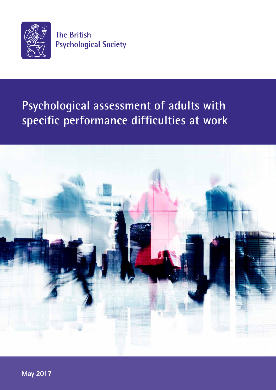

**The British Psychological Society** 

# **Psychological assessment of adults with specific performance difficulties at work**



**May 2017**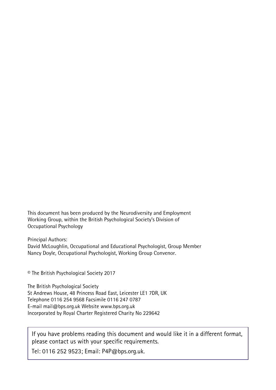This document has been produced by the Neurodiversity and Employment Working Group, within the British Psychological Society's Division of Occupational Psychology

Principal Authors: David McLoughlin, Occupational and Educational Psychologist, Group Member Nancy Doyle, Occupational Psychologist, Working Group Convenor.

© The British Psychological Society 2017

The British Psychological Society St Andrews House, 48 Princess Road East, Leicester LE1 7DR, UK Telephone 0116 254 9568 Facsimile 0116 247 0787 E-mail mail@bps.org.uk Website www.bps.org.uk Incorporated by Royal Charter Registered Charity No 229642

If you have problems reading this document and would like it in a different format, please contact us with your specific requirements.

Tel: 0116 252 9523; Email: P4P@bps.org.uk.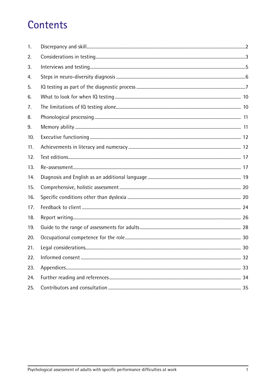# **Contents**

| 1.  |    |
|-----|----|
| 2.  |    |
| 3.  |    |
| 4.  |    |
| 5.  |    |
| 6.  |    |
| 7.  |    |
| 8.  |    |
| 9.  |    |
| 10. |    |
| 11. |    |
| 12. |    |
| 13. |    |
| 14. |    |
| 15. |    |
| 16. |    |
| 17. |    |
| 18. |    |
| 19. |    |
| 20. |    |
| 21. | 30 |
| 22. |    |
| 23. |    |
| 24. |    |
| 25. |    |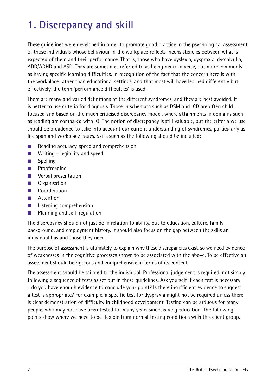# **1. Discrepancy and skill**

These guidelines were developed in order to promote good practice in the psychological assessment of those individuals whose behaviour in the workplace reflects inconsistencies between what is expected of them and their performance. That is, those who have dyslexia, dyspraxia, dyscalculia, ADD/ADHD and ASD. They are sometimes referred to as being neuro-diverse, but more commonly as having specific learning difficulties. In recognition of the fact that the concern here is with the workplace rather than educational settings, and that most will have learned differently but effectively, the term 'performance difficulties' is used.

There are many and varied definitions of the different syndromes, and they are best avoided. It is better to use criteria for diagnosis. Those in schemata such as DSM and ICD are often child focused and based on the much criticised discrepancy model, where attainments in domains such as reading are compared with IQ. The notion of discrepancy is still valuable, but the criteria we use should be broadened to take into account our current understanding of syndromes, particularly as life span and workplace issues. Skills such as the following should be included:

- Reading accuracy, speed and comprehension
- Writing legibility and speed
- Spelling
- Proofreading
- Verbal presentation
- Organisation
- Coordination
- Attention
- Listening comprehension
- Planning and self-regulation

The discrepancy should not just be in relation to ability, but to education, culture, family background, and employment history. It should also focus on the gap between the skills an individual has and those they need.

The purpose of assessment is ultimately to explain why these discrepancies exist, so we need evidence of weaknesses in the cognitive processes shown to be associated with the above. To be effective an assessment should be rigorous and comprehensive in terms of its content.

The assessment should be tailored to the individual. Professional judgement is required, not simply following a sequence of tests as set out in these guidelines. Ask yourself if each test is necessary - do you have enough evidence to conclude your point? Is there insufficient evidence to suggest a test is appropriate? For example, a specific test for dyspraxia might not be required unless there is clear demonstration of difficulty in childhood development. Testing can be arduous for many people, who may not have been tested for many years since leaving education. The following points show where we need to be flexible from normal testing conditions with this client group.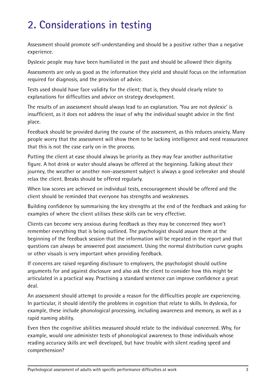# **2. Considerations in testing**

Assessment should promote self-understanding and should be a positive rather than a negative experience.

Dyslexic people may have been humiliated in the past and should be allowed their dignity.

Assessments are only as good as the information they yield and should focus on the information required for diagnosis, and the provision of advice.

Tests used should have face validity for the client; that is, they should clearly relate to explanations for difficulties and advice on strategy development.

The results of an assessment should always lead to an explanation. 'You are not dyslexic' is insufficient, as it does not address the issue of why the individual sought advice in the first place.

Feedback should be provided during the course of the assessment, as this reduces anxiety. Many people worry that the assessment will show them to be lacking intelligence and need reassurance that this is not the case early on in the process.

Putting the client at ease should always be priority as they may fear another authoritative figure. A hot drink or water should always be offered at the beginning. Talking about their journey, the weather or another non-assessment subject is always a good icebreaker and should relax the client. Breaks should be offered regularly.

When low scores are achieved on individual tests, encouragement should be offered and the client should be reminded that everyone has strengths and weaknesses.

Building confidence by summarising the key strengths at the end of the feedback and asking for examples of where the client utilises these skills can be very effective.

Clients can become very anxious during feedback as they may be concerned they won't remember everything that is being outlined. The psychologist should assure them at the beginning of the feedback session that the information will be repeated in the report and that questions can always be answered post assessment. Using the normal distribution curve graphs or other visuals is very important when providing feedback.

If concerns are raised regarding disclosure to employers, the psychologist should outline arguments for and against disclosure and also ask the client to consider how this might be articulated in a practical way. Practising a standard sentence can improve confidence a great deal.

An assessment should attempt to provide a reason for the difficulties people are experiencing. In particular, it should identify the problems in cognition that relate to skills. In dyslexia, for example, these include phonological processing, including awareness and memory, as well as a rapid naming ability.

Even then the cognitive abilities measured should relate to the individual concerned. Why, for example, would one administer tests of phonological awareness to those individuals whose reading accuracy skills are well developed, but have trouble with silent reading speed and comprehension?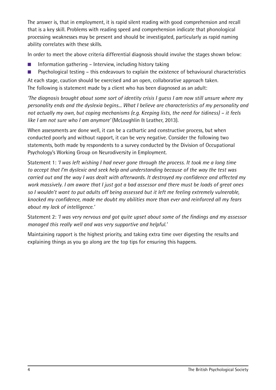The answer is, that in employment, it is rapid silent reading with good comprehension and recall that is a key skill. Problems with reading speed and comprehension indicate that phonological processing weaknesses may be present and should be investigated, particularly as rapid naming ability correlates with these skills.

In order to meet the above criteria differential diagnosis should involve the stages shown below:

- $\blacksquare$  Information gathering Interview, including history taking
- Psychological testing this endeavours to explain the existence of behavioural characteristics

At each stage, caution should be exercised and an open, collaborative approach taken. The following is statement made by a client who has been diagnosed as an adult:

*'The diagnosis brought about some sort of identity crisis I guess I am now still unsure where my personality ends and the dyslexia begins... What I believe are characteristics of my personality and not actually my own, but coping mechanisms (e.g. Keeping lists, the need for tidiness) – it feels like I am not sure who I am anymore'* (McLoughlin & Leather, 2013).

When assessments are done well, it can be a cathartic and constructive process, but when conducted poorly and without rapport, it can be very negative. Consider the following two statements, both made by respondents to a survey conducted by the Division of Occupational Psychology's Working Group on Neurodiversity in Employment.

Statement 1: *'I was left wishing I had never gone through the process. It took me a long time to accept that I'm dyslexic and seek help and understanding because of the way the test was carried out and the way I was dealt with afterwards. It destroyed my confidence and affected my work massively. I am aware that I just got a bad assessor and there must be loads of great ones so I wouldn't want to put adults off being assessed but it left me feeling extremely vulnerable, knocked my confidence, made me doubt my abilities more than ever and reinforced all my fears about my lack of intelligence.'*

Statement 2: *'I was very nervous and got quite upset about some of the findings and my assessor managed this really well and was very supportive and helpful.'*

Maintaining rapport is the highest priority, and taking extra time over digesting the results and explaining things as you go along are the top tips for ensuring this happens.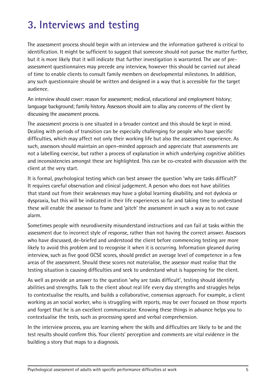# **3. Interviews and testing**

The assessment process should begin with an interview and the information gathered is critical to identification. It might be sufficient to suggest that someone should not pursue the matter further, but it is more likely that it will indicate that further investigation is warranted. The use of preassessment questionnaires may precede any interview, however this should be carried out ahead of time to enable clients to consult family members on developmental milestones. In addition, any such questionnaire should be written and designed in a way that is accessible for the target audience.

An interview should cover: reason for assessment; medical, educational and employment history; language background; family history. Assessors should aim to allay any concerns of the client by discussing the assessment process.

The assessment process is one situated in a broader context and this should be kept in mind. Dealing with periods of transition can be especially challenging for people who have specific difficulties, which may affect not only their working life but also the assessment experience. As such, assessors should maintain an open-minded approach and appreciate that assessments are not a labelling exercise, but rather a process of explanation in which underlying cognitive abilities and inconsistencies amongst these are highlighted. This can be co-created with discussion with the client at the very start.

It is formal, psychological testing which can best answer the question 'why are tasks difficult?' It requires careful observation and clinical judgement. A person who does not have abilities that stand out from their weaknesses may have a global learning disability, and not dyslexia or dyspraxia, but this will be indicated in their life experiences so far and taking time to understand these will enable the assessor to frame and 'pitch' the assessment in such a way as to not cause alarm.

Sometimes people with neurodiversity misunderstand instructions and can fail at tasks within the assessment due to incorrect style of response, rather than not having the correct answer. Assessors who have discussed, de-briefed and understood the client before commencing testing are more likely to avoid this problem and to recognise it when it is occurring. Information gleaned during interview, such as five good GCSE scores, should predict an average level of competence in a few areas of the assessment. Should these scores not materialise, the assessor must realise that the testing situation is causing difficulties and seek to understand what is happening for the client.

As well as provide an answer to the question 'why are tasks difficult', testing should identify abilities and strengths. Talk to the client about real life every day strengths and struggles helps to contextualise the results, and builds a collaborative, consensus approach. For example, a client working as an social worker, who is struggling with reports, may be over focused on those reports and forget that he is an excellent communicator. Knowing these things in advance helps you to contextualise the tests, such as processing speed and verbal comprehension.

In the interview process, you are learning where the skills and difficulties are likely to be and the test results should confirm this. Your clients' perception and comments are vital evidence in the building a story that maps to a diagnosis.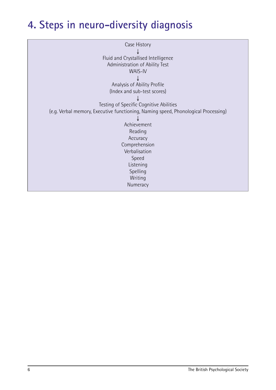# **4. Steps in neuro-diversity diagnosis**

| Case History                                                                       |
|------------------------------------------------------------------------------------|
|                                                                                    |
| Fluid and Crystallised Intelligence                                                |
| Administration of Ability Test                                                     |
| <b>WAIS-IV</b>                                                                     |
|                                                                                    |
| Analysis of Ability Profile                                                        |
| (Index and sub-test scores)                                                        |
|                                                                                    |
| Testing of Specific Cognitive Abilities                                            |
| (e.g. Verbal memory, Executive functioning, Naming speed, Phonological Processing) |
|                                                                                    |
| Achievement                                                                        |
| Reading                                                                            |
| Accuracy                                                                           |
| Comprehension                                                                      |
| Verbalisation                                                                      |
| Speed                                                                              |
| Listening                                                                          |
| Spelling                                                                           |
| Writing                                                                            |
| Numeracy                                                                           |
|                                                                                    |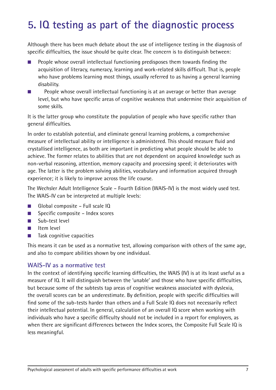# **5. IQ testing as part of the diagnostic process**

Although there has been much debate about the use of intelligence testing in the diagnosis of specific difficulties, the issue should be quite clear. The concern is to distinguish between:

- People whose overall intellectual functioning predisposes them towards finding the acquisition of literacy, numeracy, learning and work-related skills difficult. That is, people who have problems learning most things, usually referred to as having a general learning disability.
- People whose overall intellectual functioning is at an average or better than average level, but who have specific areas of cognitive weakness that undermine their acquisition of some skills.

It is the latter group who constitute the population of people who have specific rather than general difficulties.

In order to establish potential, and eliminate general learning problems, a comprehensive measure of intellectual ability or intelligence is administered. This should measure fluid and crystallised intelligence, as both are important in predicting what people should be able to achieve. The former relates to abilities that are not dependent on acquired knowledge such as non-verbal reasoning, attention, memory capacity and processing speed; it deteriorates with age. The latter is the problem solving abilities, vocabulary and information acquired through experience; it is likely to improve across the life course.

The Wechsler Adult Intelligence Scale – Fourth Edition (WAIS-IV) is the most widely used test. The WAIS-IV can be interpreted at multiple levels:

- Global composite Full scale IQ
- Specific composite Index scores
- Sub-test level
- Item level
- Task cognitive capacities

This means it can be used as a normative test, allowing comparison with others of the same age, and also to compare abilities shown by one individual.

#### **WAIS-IV as a normative test**

In the context of identifying specific learning difficulties, the WAIS (IV) is at its least useful as a measure of IQ. It will distinguish between the 'unable' and those who have specific difficulties, but because some of the subtests tap areas of cognitive weakness associated with dyslexia, the overall scores can be an underestimate. By definition, people with specific difficulties will find some of the sub-tests harder than others and a Full Scale IQ does not necessarily reflect their intellectual potential. In general, calculation of an overall IQ score when working with individuals who have a specific difficulty should not be included in a report for employers, as when there are significant differences between the Index scores, the Composite Full Scale IQ is less meaningful.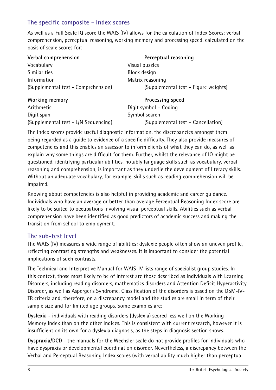### **The specific composite - Index scores**

As well as a Full Scale IQ score the WAIS (IV) allows for the calculation of Index Scores; verbal comprehension, perceptual reasoning, working memory and processing speed, calculated on the basis of scale scores for:

| Verbal comprehension                | Perceptual reasoning                 |  |
|-------------------------------------|--------------------------------------|--|
| Vocabulary                          | Visual puzzles                       |  |
| <b>Similarities</b>                 | Block design                         |  |
| Information                         | Matrix reasoning                     |  |
| (Supplemental test - Comprehension) | (Supplemental test – Figure weights) |  |
| .                                   |                                      |  |

| <b>Working memory</b>                |      |
|--------------------------------------|------|
| Arithmetic                           | Digi |
| Digit span                           | Sym  |
| (Supplemental test - L/N Sequencing) |      |

**Processing speed** it symbol – Coding abol search (Supplemental test – Cancellation)

The Index scores provide useful diagnostic information, the discrepancies amongst them being regarded as a guide to evidence of a specific difficulty. They also provide measures of competencies and this enables an assessor to inform clients of what they can do, as well as explain why some things are difficult for them. Further, whilst the relevance of IQ might be questioned, identifying particular abilities, notably language skills such as vocabulary, verbal reasoning and comprehension, is important as they underlie the development of literacy skills. Without an adequate vocabulary, for example, skills such as reading comprehension will be impaired.

Knowing about competencies is also helpful in providing academic and career guidance. Individuals who have an average or better than average Perceptual Reasoning Index score are likely to be suited to occupations involving visual perceptual skills. Abilities such as verbal comprehension have been identified as good predictors of academic success and making the transition from school to employment.

### **The sub-test level**

The WAIS (IV) measures a wide range of abilities; dyslexic people often show an uneven profile, reflecting contrasting strengths and weaknesses. It is important to consider the potential implications of such contrasts.

The Technical and Interpretive Manual for WAIS-IV lists range of specialist group studies. In this context, those most likely to be of interest are those described as Individuals with Learning Disorders, including reading disorders, mathematics disorders and Attention Deficit Hyperactivity Disorder, as well as Asperger's Syndrome. Classification of the disorders is based on the DSM-IV-TR criteria and, therefore, on a discrepancy model and the studies are small in term of their sample size and for limited age groups. Some examples are:

**Dyslexia** - individuals with reading disorders (dyslexia) scored less well on the Working Memory Index than on the other Indices. This is consistent with current research, however it is insufficient on its own for a dyslexia diagnosis, as the steps in diagnosis section shows.

**Dyspraxia/DCD** - the manuals for the Wechsler scale do not provide profiles for individuals who have dyspraxia or developmental coordination disorder. Nevertheless, a discrepancy between the Verbal and Perceptual Reasoning Index scores (with verbal ability much higher than perceptual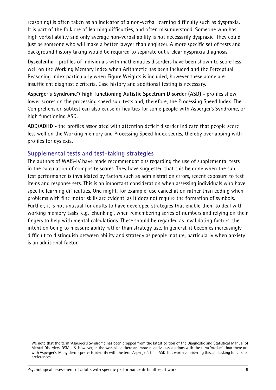reasoning) is often taken as an indicator of a non-verbal learning difficulty such as dyspraxia. It is part of the folklore of learning difficulties, and often misunderstood. Someone who has high verbal ability and only average non-verbal ability is not necessarily dyspraxic. They could just be someone who will make a better lawyer than engineer. A more specific set of tests and background history taking would be required to separate out a clear dyspraxia diagnosis.

**Dyscalculia** - profiles of individuals with mathematics disorders have been shown to score less well on the Working Memory Index when Arithmetic has been included and the Perceptual Reasoning Index particularly when Figure Weights is included, however these alone are insufficient diagnostic criteria. Case history and additional testing is necessary.

**Asperger's Syndrome\*/ high functioning Autistic Spectrum Disorder (ASD)** - profiles show lower scores on the processing speed sub-tests and, therefore, the Processing Speed Index. The Comprehension subtest can also cause difficulties for some people with Asperger's Syndrome, or high functioning ASD.

**ADD/ADHD** - the profiles associated with attention deficit disorder indicate that people score less well on the Working memory and Processing Speed Index scores, thereby overlapping with profiles for dyslexia.

### **Supplemental tests and test-taking strategies**

The authors of WAIS-IV have made recommendations regarding the use of supplemental tests in the calculation of composite scores. They have suggested that this be done when the subtest performance is invalidated by factors such as administration errors, recent exposure to test items and response sets. This is an important consideration when assessing individuals who have specific learning difficulties. One might, for example, use cancellation rather than coding when problems with fine motor skills are evident, as it does not require the formation of symbols. Further, it is not unusual for adults to have developed strategies that enable them to deal with working memory tasks, e.g. 'chunking', when remembering series of numbers and relying on their fingers to help with mental calculations. These should be regarded as invalidating factors, the intention being to measure ability rather than strategy use. In general, it becomes increasingly difficult to distinguish between ability and strategy as people mature, particularly when anxiety is an additional factor.

We note that the term 'Asperger's Syndrome has been dropped from the latest edition of the Diagnostic and Statistical Manual of Mental Disorders, DSM – 5. However, in the workplace there are more negative associations with the term 'Autism' than there are with Asperger's. Many clients prefer to identify with the term Asperger's than ASD. It is worth considering this, and asking for clients' preferences.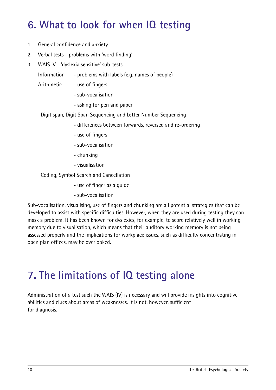## **6. What to look for when IQ testing**

- 1. General confidence and anxiety
- 2. Verbal tests problems with 'word finding'
- 3. WAIS IV 'dyslexia sensitive' sub-tests
	- Information problems with labels (e.g. names of people)
	- Arithmetic use of fingers
		- sub-vocalisation
		- asking for pen and paper

Digit span, Digit Span Sequencing and Letter Number Sequencing

- differences between forwards, reversed and re-ordering
- use of fingers
- sub-vocalisation
- chunking
- visualisation

Coding, Symbol Search and Cancellation

- use of finger as a guide
- sub-vocalisation

Sub-vocalisation, visualising, use of fingers and chunking are all potential strategies that can be developed to assist with specific difficulties. However, when they are used during testing they can mask a problem. It has been known for dyslexics, for example, to score relatively well in working memory due to visualisation, which means that their auditory working memory is not being assessed properly and the implications for workplace issues, such as difficulty concentrating in open plan offices, may be overlooked.

### **7. The limitations of IQ testing alone**

Administration of a test such the WAIS (IV) is necessary and will provide insights into cognitive abilities and clues about areas of weaknesses. It is not, however, sufficient for diagnosis.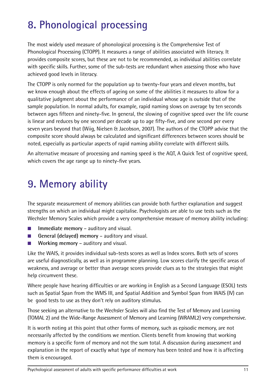# **8. Phonological processing**

The most widely used measure of phonological processing is the Comprehensive Test of Phonological Processing (CTOPP). It measures a range of abilities associated with literacy. It provides composite scores, but these are not to be recommended, as individual abilities correlate with specific skills. Further, some of the sub-tests are redundant when assessing those who have achieved good levels in literacy.

The CTOPP is only normed for the population up to twenty-four years and eleven months, but we know enough about the effects of ageing on some of the abilities it measures to allow for a qualitative judgment about the performance of an individual whose age is outside that of the sample population. In normal adults, for example, rapid naming slows on average by ten seconds between ages fifteen and ninety-five. In general, the slowing of cognitive speed over the life course is linear and reduces by one second per decade up to age fifty-five, and one second per every seven years beyond that (Wiig, Nielsen & Jacobson, 2007). The authors of the CTOPP advise that the composite score should always be calculated and significant differences between scores should be noted, especially as particular aspects of rapid naming ability correlate with different skills.

An alternative measure of processing and naming speed is the AQT, A Quick Test of cognitive speed, which covers the age range up to ninety-five years.

## **9. Memory ability**

The separate measurement of memory abilities can provide both further explanation and suggest strengths on which an individual might capitalise. Psychologists are able to use tests such as the Wechsler Memory Scales which provide a very comprehensive measure of memory ability including:

- **Immediate memory** auditory and visual.
- **General (delayed) memory** auditory and visual.
- **Working memory** auditory and visual.

Like the WAIS, it provides individual sub-tests scores as well as Index scores. Both sets of scores are useful diagnostically, as well as in programme planning. Low scores clarify the specific areas of weakness, and average or better than average scores provide clues as to the strategies that might help circumvent these.

Where people have hearing difficulties or are working in English as a Second Language (ESOL) tests such as Spatial Span from the WMS III, and Spatial Addition and Symbol Span from WAIS (IV) can be good tests to use as they don't rely on auditory stimulus.

Those seeking an alternative to the Wechsler Scales will also find the Test of Memory and Learning (TOMAL 2) and the Wide-Range Assessment of Memory and Learning (WRAML2) very comprehensive.

It is worth noting at this point that other forms of memory, such as episodic memory, are not necessarily affected by the conditions we mention. Clients benefit from knowing that working memory is a specific form of memory and not the sum total. A discussion during assessment and explanation in the report of exactly what type of memory has been tested and how it is affecting them is encouraged.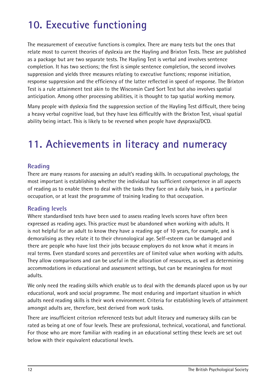# **10. Executive functioning**

The measurement of executive functions is complex. There are many tests but the ones that relate most to current theories of dyslexia are the Hayling and Brixton Tests. These are published as a package but are two separate tests. The Hayling Test is verbal and involves sentence completion. It has two sections; the first is simple sentence completion, the second involves suppression and yields three measures relating to executive functions; response initiation, response suppression and the efficiency of the latter reflected in speed of response. The Brixton Test is a rule attainment test akin to the Wisconsin Card Sort Test but also involves spatial anticipation. Among other processing abilities, it is thought to tap spatial working memory.

Many people with dyslexia find the suppression section of the Hayling Test difficult, there being a heavy verbal cognitive load, but they have less difficultly with the Brixton Test, visual spatial ability being intact. This is likely to be reversed when people have dyspraxia/DCD.

## **11. Achievements in literacy and numeracy**

### **Reading**

There are many reasons for assessing an adult's reading skills. In occupational psychology, the most important is establishing whether the individual has sufficient competence in all aspects of reading as to enable them to deal with the tasks they face on a daily basis, in a particular occupation, or at least the programme of training leading to that occupation.

#### **Reading levels**

Where standardised tests have been used to assess reading levels scores have often been expressed as reading ages. This practice must be abandoned when working with adults. It is not helpful for an adult to know they have a reading age of 10 years, for example, and is demoralising as they relate it to their chronological age. Self-esteem can be damaged and there are people who have lost their jobs because employers do not know what it means in real terms. Even standard scores and percentiles are of limited value when working with adults. They allow comparisons and can be useful in the allocation of resources, as well as determining accommodations in educational and assessment settings, but can be meaningless for most adults.

We only need the reading skills which enable us to deal with the demands placed upon us by our educational, work and social programme. The most enduring and important situation in which adults need reading skills is their work environment. Criteria for establishing levels of attainment amongst adults are, therefore, best derived from work tasks.

There are insufficient criterion referenced tests but adult literacy and numeracy skills can be rated as being at one of four levels. These are professional, technical, vocational, and functional. For those who are more familiar with reading in an educational setting these levels are set out below with their equivalent educational levels.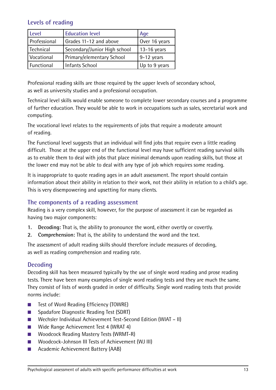### **Levels of reading**

| <b>Level</b>        | <b>Education level</b>       | Age           |
|---------------------|------------------------------|---------------|
| <b>Professional</b> | Grades 11-12 and above       | Over 16 years |
| Technical           | Secondary/Junior High school | $13-16$ years |
| Vocational          | Primary/elementary School    | $9-12$ years  |
| Functional          | <b>Infants School</b>        | Up to 9 years |

Professional reading skills are those required by the upper levels of secondary school, as well as university studies and a professional occupation.

Technical level skills would enable someone to complete lower secondary courses and a programme of further education. They would be able to work in occupations such as sales, secretarial work and computing.

The vocational level relates to the requirements of jobs that require a moderate amount of reading.

The Functional level suggests that an individual will find jobs that require even a little reading difficult. Those at the upper end of the functional level may have sufficient reading survival skills as to enable them to deal with jobs that place minimal demands upon reading skills, but those at the lower end may not be able to deal with any type of job which requires some reading.

It is inappropriate to quote reading ages in an adult assessment. The report should contain information about their ability in relation to their work, not their ability in relation to a child's age. This is very disempowering and upsetting for many clients.

#### **The components of a reading assessment**

Reading is a very complex skill, however, for the purpose of assessment it can be regarded as having two major components:

- **1. Decoding:** That is, the ability to pronounce the word, either overtly or covertly.
- **2. Comprehension:** That is, the ability to understand the word and the text.

The assessment of adult reading skills should therefore include measures of decoding, as well as reading comprehension and reading rate.

#### **Decoding**

Decoding skill has been measured typically by the use of single word reading and prose reading tests. There have been many examples of single word reading tests and they are much the same. They consist of lists of words graded in order of difficulty. Single word reading tests that provide norms include:

- Test of Word Reading Efficiency (TOWRE)
- Spadafore Diagnostic Reading Test (SDRT)
- Wechsler Individual Achievement Test-Second Edition (WIAT II)
- Wide Range Achievement Test 4 (WRAT 4)
- Woodcock Reading Mastery Tests (WRMT-R)
- Woodcock-Johnson III Tests of Achievement (WJ III)
- Academic Achievement Battery (AAB)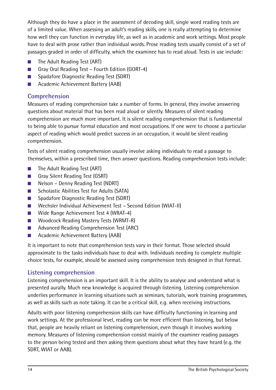Although they do have a place in the assessment of decoding skill, single word reading tests are of a limited value. When assessing an adult's reading skills, one is really attempting to determine how well they can function in everyday life, as well as in academic and work settings. Most people have to deal with prose rather than individual words. Prose reading tests usually consist of a set of passages graded in order of difficulty, which the examinee has to read aloud. Tests in use include:

- The Adult Reading Test (ART)
- Gray Oral Reading Test Fourth Edition (GORT-4)
- Spadafore Diagnostic Reading Test (SDRT)
- Academic Achievement Battery (AAB)

### **Comprehension**

Measures of reading comprehension take a number of forms. In general, they involve answering questions about material that has been read aloud or silently. Measures of silent reading comprehension are much more important. It is silent reading comprehension that is fundamental to being able to pursue formal education and most occupations. If one were to choose a particular aspect of reading which would predict success in an occupation, it would be silent reading comprehension.

Tests of silent reading comprehension usually involve asking individuals to read a passage to themselves, within a prescribed time, then answer questions. Reading comprehension tests include:

- The Adult Reading Test (ART)
- Gray Silent Reading Test (GSRT)
- Nelson Denny Reading Test (NDRT)
- Scholastic Abilities Test for Adults (SATA)
- Spadafore Diagnostic Reading Test (SDRT)
- Wechsler Individual Achievement Test Second Edition (WIAT-II)
- Wide Range Achievement Test 4 (WRAT-4)
- Woodcock Reading Mastery Tests (WRMT-R)
- Advanced Reading Comprehension Test (ARC)
- Academic Achievement Battery (AAB)

It is important to note that comprehension tests vary in their format. Those selected should approximate to the tasks individuals have to deal with. Individuals needing to complete multiple choice tests, for example, should be assessed using comprehension tests designed in that format.

### **Listening comprehension**

Listening comprehension is an important skill. It is the ability to analyse and understand what is presented aurally. Much new knowledge is acquired through listening. Listening comprehension underlies performance in learning situations such as seminars, tutorials, work training programmes, as well as skills such as note taking. It can be a critical skill, e.g. when receiving instructions.

Adults with poor listening comprehension skills can have difficulty functioning in learning and work settings. At the professional level, reading can be more efficient than listening, but below that, people are heavily reliant on listening comprehension, even though it involves working memory. Measures of listening comprehension consist mainly of the examiner reading passages to the person being tested and then asking them questions about what they have heard (e.g. the SDRT, WIAT or AAB).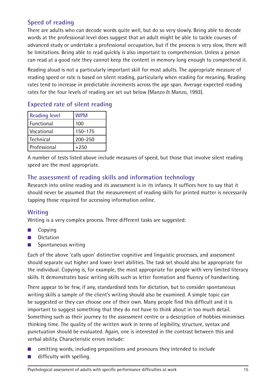### **Speed of reading**

There are adults who can decode words quite well, but do so very slowly. Being able to decode words at the professional level does suggest that an adult might be able to tackle courses of advanced study or undertake a professional occupation, but if the process is very slow, there will be limitations. Being able to read quickly is also important to comprehension. Unless a person can read at a good rate they cannot keep the content in memory long enough to comprehend it.

Reading aloud is not a particularly important skill for most adults. The appropriate measure of reading speed or rate is based on silent reading, particularly when reading for meaning. Reading rates tend to increase in predictable increments across the age span. Average expected reading rates for the four levels of reading are set out below (Manzo & Manzo, 1993).

### **Expected rate of silent reading**

| <b>Reading level</b> | <b>WPM</b> |  |
|----------------------|------------|--|
| Functional           | 100        |  |
| Vocational           | 150-175    |  |
| l Technical          | 200-250    |  |
| l Professional       | $+250$     |  |

A number of tests listed above include measures of speed, but those that involve silent reading speed are the most appropriate.

### **The assessment of reading skills and information technology**

Research into online reading and its assessment is in its infancy. It suffices here to say that it should never be assumed that the measurement of reading skills for printed matter is necessarily tapping those required for accessing information online.

### **Writing**

Writing is a very complex process. Three different tasks are suggested:

- Copying
- Dictation
- Spontaneous writing

Each of the above 'calls upon' distinctive cognitive and linguistic processes, and assessment should separate out higher and lower level abilities. The task set should also be appropriate for the individual. Copying is, for example, the most appropriate for people with very limited literacy skills. It demonstrates basic writing skills such as letter formation and fluency of handwriting.

There appear to be few, if any, standardised tests for dictation, but to consider spontaneous writing skills a sample of the client's writing should also be examined. A simple topic can be suggested or they can choose one of their own. Many people find this difficult and it is important to suggest something that they do not have to think about in too much detail. Something such as their journey to the assessment centre or a description of hobbies minimises thinking time. The quality of the written work in terms of legibility, structure, syntax and punctuation should be evaluated. Again, one is interested in the contrast between this and verbal ability. Characteristic errors include:

- omitting words, including prepositions and pronouns they intended to include
- $\blacksquare$  difficulty with spelling.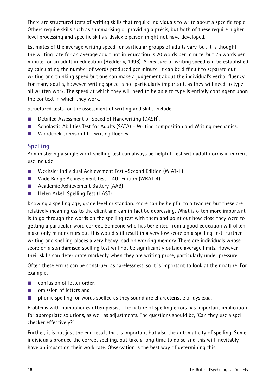There are structured tests of writing skills that require individuals to write about a specific topic. Others require skills such as summarising or providing a précis, but both of these require higher level processing and specific skills a dyslexic person might not have developed.

Estimates of the average writing speed for particular groups of adults vary, but it is thought the writing rate for an average adult not in education is 20 words per minute, but 25 words per minute for an adult in education (Hedderly, 1996). A measure of writing speed can be established by calculating the number of words produced per minute. It can be difficult to separate out writing and thinking speed but one can make a judgement about the individual's verbal fluency. For many adults, however, writing speed is not particularly important, as they will need to type all written work. The speed at which they will need to be able to type is entirely contingent upon the context in which they work.

Structured tests for the assessment of writing and skills include:

- Detailed Assessment of Speed of Handwriting (DASH).
- Scholastic Abilities Test for Adults (SATA) Writing composition and Writing mechanics.
- Woodcock-Johnson III writing fluency.

### **Spelling**

Administering a single word-spelling test can always be helpful. Test with adult norms in current use include:

- Wechsler Individual Achievement Test –Second Edition (WIAT-II)
- Wide Range Achievement Test 4th Edition (WRAT-4)
- Academic Achievement Battery (AAB)
- Helen Arkell Spelling Test (HAST)

Knowing a spelling age, grade level or standard score can be helpful to a teacher, but these are relatively meaningless to the client and can in fact be depressing. What is often more important is to go through the words on the spelling test with them and point out how close they were to getting a particular word correct. Someone who has benefited from a good education will often make only minor errors but this would still result in a very low score on a spelling test. Further, writing and spelling places a very heavy load on working memory. There are individuals whose score on a standardised spelling test will not be significantly outside average limits. However, their skills can deteriorate markedly when they are writing prose, particularly under pressure.

Often these errors can be construed as carelessness, so it is important to look at their nature. For example:

- confusion of letter order,
- omission of letters and
- phonic spelling, or words spelled as they sound are characteristic of dyslexia.

Problems with homophones often persist. The nature of spelling errors has important implication for appropriate solutions, as well as adjustments. The questions should be, 'Can they use a spell checker effectively?'

Further, it is not just the end result that is important but also the automaticity of spelling. Some individuals produce the correct spelling, but take a long time to do so and this will inevitably have an impact on their work rate. Observation is the best way of determining this.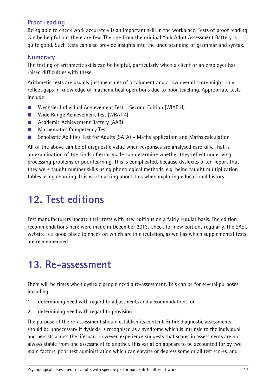### **Proof reading**

Being able to check work accurately is an important skill in the workplace. Tests of proof reading can be helpful but there are few. The one from the original York Adult Assessment Battery is quite good. Such tests can also provide insights into the understanding of grammar and syntax.

#### **Numeracy**

The testing of arithmetic skills can be helpful, particularly when a client or an employer has raised difficulties with these.

Arithmetic tests are usually just measures of attainment and a low overall score might only reflect gaps in knowledge of mathematical operations due to poor teaching. Appropriate tests include:

- Wechsler Individual Achievement Test Second Edition (WIAT-II)
- Wide Range Achievement Test (WRAT 4)
- Academic Achievement Battery (AAB)
- Mathematics Competency Test
- Scholastic Abilities Test for Adults (SATA) Maths application and Maths calculation

All of the above can be of diagnostic value when responses are analysed carefully. That is, an examination of the kinds of error made can determine whether they reflect underlying processing problems or poor learning. This is complicated, because dyslexics often report that they were taught number skills using phonological methods, e.g. being taught multiplication tables using chanting. It is worth asking about this when exploring educational history.

# **12. Test editions**

Test manufacturers update their tests with new editions on a fairly regular basis. The edition recommendations here were made in December 2013. Check for new editions regularly. The SASC website is a good place to check on which are in circulation, as well as which supplemental tests are recommended.

## **13. Re-assessment**

There will be times when dyslexic people need a re-assessment. This can be for several purposes including:

- 1. determining need with regard to adjustments and accommodations, or
- 2. determining need with regard to provision.

The purpose of the re-assessment should establish its content. Entire diagnostic assessments should be unnecessary if dyslexia is recognised as a syndrome which is intrinsic to the individual and persists across the lifespan. However, experience suggests that scores in assessments are not always stable from one assessment to another. This variation appears to be accounted for by two main factors, poor test administration which can elevate or depress some or all test scores, and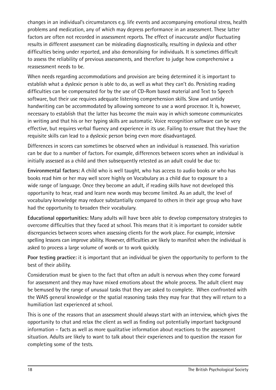changes in an individual's circumstances e.g. life events and accompanying emotional stress, health problems and medication, any of which may depress performance in an assessment. These latter factors are often not recorded in assessment reports. The effect of inaccurate and/or fluctuating results in different assessment can be misleading diagnostically, resulting in dyslexia and other difficulties being under reported, and also demoralising for individuals. It is sometimes difficult to assess the reliability of previous assessments, and therefore to judge how comprehensive a reassessment needs to be.

When needs regarding accommodations and provision are being determined it is important to establish what a dyslexic person is able to do, as well as what they can't do. Persisting reading difficulties can be compensated for by the use of CD-Rom based material and Text to Speech software, but their use requires adequate listening comprehension skills. Slow and untidy handwriting can be accommodated by allowing someone to use a word processor. It is, however, necessary to establish that the latter has become the main way in which someone communicates in writing and that his or her typing skills are automatic. Voice recognition software can be very effective, but requires verbal fluency and experience in its use. Failing to ensure that they have the requisite skills can lead to a dyslexic person being even more disadvantaged.

Differences in scores can sometimes be observed when an individual is reassessed. This variation can be due to a number of factors. For example, differences between scores when an individual is initially assessed as a child and then subsequently retested as an adult could be due to:

**Environmental factors:** A child who is well taught, who has access to audio books or who has books read him or her may well score highly on Vocabulary as a child due to exposure to a wide range of language. Once they become an adult, if reading skills have not developed this opportunity to hear, read and learn new words may become limited. As an adult, the level of vocabulary knowledge may reduce substantially compared to others in their age group who have had the opportunity to broaden their vocabulary.

**Educational opportunities:** Many adults will have been able to develop compensatory strategies to overcome difficulties that they faced at school. This means that it is important to consider subtle discrepancies between scores when assessing clients for the work place. For example, intensive spelling lessons can improve ability. However, difficulties are likely to manifest when the individual is asked to process a large volume of words or to work quickly.

**Poor testing practice:** it is important that an individual be given the opportunity to perform to the best of their ability.

Consideration must be given to the fact that often an adult is nervous when they come forward for assessment and they may have mixed emotions about the whole process. The adult client may be bemused by the range of unusual tasks that they are asked to complete. When confronted with the WAIS general knowledge or the spatial reasoning tasks they may fear that they will return to a humiliation last experienced at school.

This is one of the reasons that an assessment should always start with an interview, which gives the opportunity to chat and relax the client as well as finding out potentially important background information – facts as well as more qualitative information about reactions to the assessment situation. Adults are likely to want to talk about their experiences and to question the reason for completing some of the tests.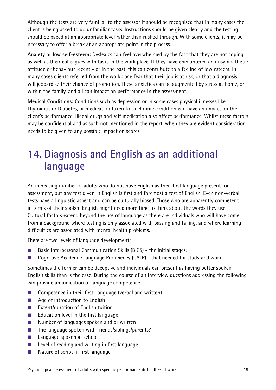Although the tests are very familiar to the assessor it should be recognised that in many cases the client is being asked to do unfamiliar tasks. Instructions should be given clearly and the testing should be paced at an appropriate level rather than rushed through. With some clients, it may be necessary to offer a break at an appropriate point in the process.

**Anxiety or low self-esteem:** Dyslexics can feel overwhelmed by the fact that they are not coping as well as their colleagues with tasks in the work place. If they have encountered an unsympathetic attitude or behaviour recently or in the past, this can contribute to a feeling of low esteem. In many cases clients referred from the workplace fear that their job is at risk, or that a diagnosis will jeopardise their chance of promotion. These anxieties can be augmented by stress at home, or within the family, and all can impact on performance in the assessment.

**Medical Conditions:** Conditions such as depression or in some cases physical illnesses like Thyroiditis or Diabetes, or medication taken for a chronic condition can have an impact on the client's performance. Illegal drugs and self medication also affect performance. Whilst these factors may be confidential and as such not mentioned in the report, when they are evident consideration needs to be given to any possible impact on scores.

# **14. Diagnosis and English as an additional language**

An increasing number of adults who do not have English as their first language present for assessment, but any test given in English is first and foremost a test of English. Even non-verbal tests have a linguistic aspect and can be culturally biased. Those who are apparently competent in terms of their spoken English might need more time to think about the words they use. Cultural factors extend beyond the use of language as there are individuals who will have come from a background where testing is only associated with passing and failing, and where learning difficulties are associated with mental health problems.

There are two levels of language development:

- Basic Interpersonal Communication Skills (BICS) the initial stages.
- Cognitive Academic Language Proficiency (CALP) that needed for study and work.

Sometimes the former can be deceptive and individuals can present as having better spoken English skills than is the case. During the course of an interview questions addressing the following can provide an indication of language competence:

- Competence in their first language (verbal and written)
- Age of introduction to English
- Extent/duration of English tuition
- Education level in the first language
- Number of languages spoken and or written
- The language spoken with friends/siblings/parents?
- Language spoken at school
- Level of reading and writing in first language
- Nature of script in first language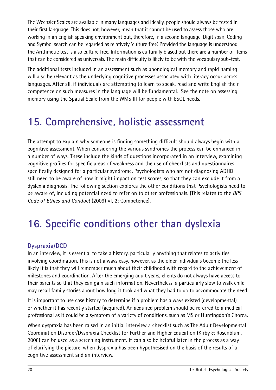The Wechsler Scales are available in many languages and ideally, people should always be tested in their first language. This does not, however, mean that it cannot be used to assess those who are working in an English speaking environment but, therefore, in a second language. Digit span, Coding and Symbol search can be regarded as relatively 'culture free'. Provided the language is understood, the Arithmetic test is also culture free. Information is culturally biased but there are a number of items that can be considered as universals. The main difficulty is likely to be with the vocabulary sub-test.

The additional tests included in an assessment such as phonological memory and rapid naming will also be relevant as the underlying cognitive processes associated with literacy occur across languages. After all, if individuals are attempting to learn to speak, read and write English their competence on such measures in the language will be fundamental. See the note on assessing memory using the Spatial Scale from the WMS III for people with ESOL needs.

## **15. Comprehensive, holistic assessment**

The attempt to explain why someone is finding something difficult should always begin with a cognitive assessment. When considering the various syndromes the process can be enhanced in a number of ways. These include the kinds of questions incorporated in an interview, examining cognitive profiles for specific areas of weakness and the use of checklists and questionnaires specifically designed for a particular syndrome. Psychologists who are not diagnosing ADHD still need to be aware of how it might impact on test scores, so that they can exclude it from a dyslexia diagnosis. The following section explores the other conditions that Psychologists need to be aware of, including potential need to refer on to other professionals. (This relates to the *BPS Code of Ethics and Conduct* (2009) VI, 2: Competence).

# **16. Specific conditions other than dyslexia**

### **Dyspraxia/DCD**

In an interview, it is essential to take a history, particularly anything that relates to activities involving coordination. This is not always easy, however, as the older individuals become the less likely it is that they will remember much about their childhood with regard to the achievement of milestones and coordination. After the emerging adult years, clients do not always have access to their parents so that they can gain such information. Nevertheless, a particularly slow to walk child may recall family stories about how long it took and what they had to do to accommodate the need.

It is important to use case history to determine if a problem has always existed (developmental) or whether it has recently started (acquired). An acquired problem should be referred to a medical professional as it could be a symptom of a variety of conditions, such as MS or Huntingdon's Chorea.

When dyspraxia has been raised in an initial interview a checklist such as The Adult Developmental Coordination Disorder/Dyspraxia Checklist for Further and Higher Education (Kirby & Rosenblum, 2008) can be used as a screening instrument. It can also be helpful later in the process as a way of clarifying the picture, when dyspraxia has been hypothesised on the basis of the results of a cognitive assessment and an interview.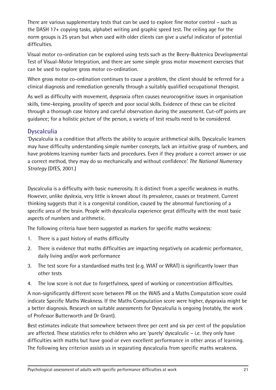There are various supplementary tests that can be used to explore fine motor control – such as the DASH 17+ copying tasks, alphabet writing and graphic speed test. The ceiling age for the norm groups is 25 years but when used with older clients can give a useful indicator of potential difficulties.

Visual motor co-ordination can be explored using tests such as the Beery-Buktenica Developmental Test of Visual-Motor Integration, and there are some simple gross motor movement exercises that can be used to explore gross motor co-ordination.

When gross motor co-ordination continues to cause a problem, the client should be referred for a clinical diagnosis and remediation generally through a suitably qualified occupational therapist.

As well as difficulty with movement, dyspraxia often causes neurocognitive issues in organisation skills, time-keeping, proxility of speech and poor social skills. Evidence of these can be elicited through a thorough case history and careful observation during the assessment. Cut-off points are guidance; for a holistic picture of the person, a variety of test results need to be considered.

### **Dyscalculia**

'Dyscalculia is a condition that affects the ability to acquire arithmetical skills. Dyscalculic learners may have difficulty understanding simple number concepts, lack an intuitive grasp of numbers, and have problems learning number facts and procedures. Even if they produce a correct answer or use a correct method, they may do so mechanically and without confidence.' *The National Numeracy Strategy* (DfES, 2001.)

Dyscalculia is a difficulty with basic numerosity. It is distinct from a specific weakness in maths. However, unlike dyslexia, very little is known about its prevalence, causes or treatment. Current thinking suggests that it is a congenital condition, caused by the abnormal functioning of a specific area of the brain. People with dyscalculia experience great difficulty with the most basic aspects of numbers and arithmetic.

The following criteria have been suggested as markers for specific maths weakness:

- 1. There is a past history of maths difficulty
- 2. There is evidence that maths difficulties are impacting negatively on academic performance, daily living and/or work performance
- 3. The test score for a standardised maths test (e.g. WIAT or WRAT) is significantly lower than other tests
- 4. The low score is not due to forgetfulness, speed of working or concentration difficulties.

A non-significantly different score between PR on the WAIS and a Maths Computation score could indicate Specific Maths Weakness. If the Maths Computation score were higher, dyspraxia might be a better diagnosis. Research on suitable assessments for Dyscalculia is ongoing (notably, the work of Professor Butterworth and Dr Grant).

Best estimates indicate that somewhere between three per cent and six per cent of the population are affected. These statistics refer to children who are 'purely' dyscalculic – i.e. they only have difficulties with maths but have good or even excellent performance in other areas of learning. The following key criterion assists us in separating dyscalculia from specific maths weakness.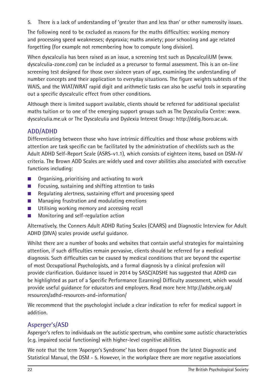5. There is a lack of understanding of 'greater than and less than' or other numerosity issues.

The following need to be excluded as reasons for the maths difficulties: working memory and processing speed weaknesses; dyspraxia; maths anxiety; poor schooling and age related forgetting (for example not remembering how to compute long division).

When dyscalculia has been raised as an issue, a screening test such as DyscalculiUM (www. dyscalculia-zone.com) can be included as a precursor to formal assessment. This is an on-line screening test designed for those over sixteen years of age, examining the understanding of number concepts and their application to everyday situations. The figure weights subtests of the WAIS, and the WIAT/WRAT rapid digit and arithmetic tasks can also be useful tools in separating out a specific dyscalculic effect from other conditions.

Although there is limited support available, clients should be referred for additional specialist maths tuition or to one of the emerging support groups such as The Dyscalculia Centre: www. dyscalculia.me.uk or The Dyscalculia and Dyslexia Interest Group: http://ddig.lboro.ac.uk.

### **ADD/ADHD**

Differentiating between those who have intrinsic difficulties and those whose problems with attention are task specific can be facilitated by the administration of checklists such as the Adult ADHD Self-Report Scale (ASRS-v1.1), which consists of eighteen items, based on DSM-IV criteria. The Brown ADD Scales are widely used and cover abilities also associated with executive functions including:

- Organising, prioritising and activating to work
- Focusing, sustaining and shifting attention to tasks
- Regulating alertness, sustaining effort and processing speed
- Managing frustration and modulating emotions
- Utilising working memory and accessing recall
- Monitoring and self-regulation action

Alternatively, the Conners Adult ADHD Rating Scales (CAARS) and Diagnostic Interview for Adult ADHD (DIVA) scales provide useful guidance.

Whilst there are a number of books and websites that contain useful strategies for maintaining attention, if such difficulties remain pervasive, clients should be referred for a medical diagnosis. Such difficulties can be caused by medical conditions that are beyond the expertise of most Occupational Psychologists, and a formal diagnosis by a clinical profession will provide clarification. Guidance issued in 2014 by SASC/ADSHE has suggested that ADHD can be highlighted as part of a Specific Performance (Learning) Difficulty assessment, which would provide useful guidance for educators and employers. Read more here http://adshe.org.uk/ resources/adhd-resources-and-information/

We recommend that the psychologist include a clear indication to refer for medical support in addition.

### **Asperger's/ASD**

Asperger's refers to individuals on the autistic spectrum, who combine some autistic characteristics (e.g. impaired social functioning) with higher-level cognitive abilities.

We note that the term 'Asperger's Syndrome' has been dropped from the latest Diagnostic and Statistical Manual, the DSM - 5. However, in the workplace there are more negative associations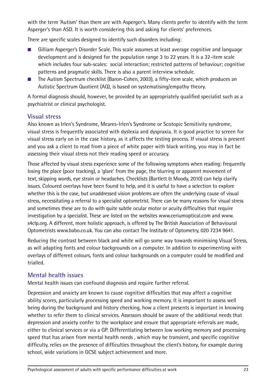with the term 'Autism' than there are with Asperger's. Many clients prefer to identify with the term Asperger's than ASD. It is worth considering this and asking for clients' preferences.

There are specific scales designed to identify such disorders including:

- Gilliam Asperger's Disorder Scale. This scale assumes at least average cognitive and language development and is designed for the population range 3 to 22 years. It is a 32-item scale which includes four sub-scales: social interaction; restricted patterns of behaviour; cognitive patterns and pragmatic skills. There is also a parent interview schedule.
- The Autism Spectrum checklist (Baron-Cohen, 2003), a fifty-item scale, which produces an Autistic Spectrum Quotient (AQ), is based on systematising/empathy theory.

A formal diagnosis should, however, be provided by an appropriately qualified specialist such as a psychiatrist or clinical psychologist.

### **Visual stress**

Also known as Irlen's Syndrome, Meares-Irlen's Syndrome or Scotopic Sensitivity syndrome, visual stress is frequently associated with dyslexia and dyspraxia. It is good practice to screen for visual stress early on in the case history, as it affects the testing process. If visual stress is present and you ask a client to read from a piece of white paper with black writing, you may in fact be assessing their visual stress not their reading speed or accuracy.

Those affected by visual stress experience some of the following symptoms when reading: frequently losing the place (poor tracking), a 'glare' from the page, the blurring or apparent movement of text, skipping words, eye strain or headaches. Checklists (Bartlett & Moody, 2010) can help clarify issues. Coloured overlays have been found to help, and it is useful to have a selection to explore whether this is the case, but unaddressed vision problems are often the underlying cause of visual stress, necessitating a referral to a specialist optometrist. There can be many reasons for visual stress and sometimes these are to do with quite subtle ocular motor or acuity difficulties that require investigation by a specialist. These are listed on the websites www.ceriumoptical.com and www. s4clp.org. A different, more holistic approach, is offered by The British Association of Behavioural Optometrists www.babo.co.uk. You can also contact The Institute of Optometry, 020 7234 9641.

Reducing the contrast between black and white will go some way towards minimising Visual Stress, as will adapting fonts and colour backgrounds on a computer. In addition to experimenting with overlays of different colours, fonts and colour backgrounds on a computer could be modified and trialled.

### **Mental health issues**

Mental health issues can confound diagnosis and require further referral.

Depression and anxiety are known to cause cognitive difficulties that may affect a cognitive ability scores, particularly processing speed and working memory. It is important to assess well being during the background and history checking, how a client presents is important in knowing whether to refer them to clinical services. Assessors should be aware of the additional needs that depression and anxiety confer to the workplace and ensure that appropriate referrals are made, either to clinical services or via a GP. Differentiating between low working memory and processing speed that has arisen from mental health needs , which may be transient, and specific cognitive difficulty, relies on the presence of difficulties throughout the client's history, for example during school, wide variations in GCSE subject achievement and more.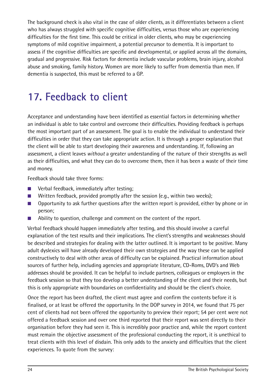The background check is also vital in the case of older clients, as it differentiates between a client who has always struggled with specific cognitive difficulties, versus those who are experiencing difficulties for the first time. This could be critical in older clients, who may be experiencing symptoms of mild cognitive impairment, a potential precursor to dementia. It is important to assess if the cognitive difficulties are specific and developmental, or applied across all the domains, gradual and progressive. Risk factors for dementia include vascular problems, brain injury, alcohol abuse and smoking, family history. Women are more likely to suffer from dementia than men. If dementia is suspected, this must be referred to a GP.

# **17. Feedback to client**

Acceptance and understanding have been identified as essential factors in determining whether an individual is able to take control and overcome their difficulties. Providing feedback is perhaps the most important part of an assessment. The goal is to enable the individual to understand their difficulties in order that they can take appropriate action. It is through a proper explanation that the client will be able to start developing their awareness and understanding. If, following an assessment, a client leaves *without* a greater understanding of the nature of their strengths as well as their difficulties, and what they can do to overcome them, then it has been a waste of their time and money.

Feedback should take three forms:

- Verbal feedback, immediately after testing;
- Written feedback, provided promptly after the session (e.g., within two weeks);
- Opportunity to ask further questions after the written report is provided, either by phone or in person;
- Ability to question, challenge and comment on the content of the report.

Verbal feedback should happen immediately after testing, and this should involve a careful explanation of the test results and their implications. The client's strengths and weaknesses should be described and strategies for dealing with the latter outlined. It is important to be positive. Many adult dyslexics will have already developed their own strategies and the way these can be applied constructively to deal with other areas of difficulty can be explained. Practical information about sources of further help, including agencies and appropriate literature, CD-Roms, DVD's and Web addresses should be provided. It can be helpful to include partners, colleagues or employers in the feedback session so that they too develop a better understanding of the client and their needs, but this is only appropriate with boundaries on confidentiality and should be the client's choice.

Once the report has been drafted, the client must agree and confirm the contents before it is finalised, or at least be offered the opportunity. In the DOP survey in 2014, we found that 75 per cent of clients had not been offered the opportunity to preview their report; 54 per cent were not offered a feedback session and over one third reported that their report was sent directly to their organisation before they had seen it. This is incredibly poor practice and, while the report content must remain the objective assessment of the professional conducting the report, it is unethical to treat clients with this level of disdain. This only adds to the anxiety and difficulties that the client experiences. To quote from the survey: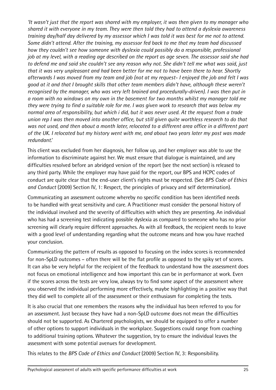*'It wasn't just that the report was shared with my employer, it was then given to my manager who shared it with everyone in my team. They were then told they had to attend a dyslexia awareness training day/half day delivered by my assessor which I was told it was best for me not to attend. Some didn't attend. After the training, my assessor fed back to me that my team had discussed how they couldn't see how someone with dyslexia could possibly do a responsible, professional job at my level, with a reading age described on the report as age seven. The assessor said she had to defend me and said she couldn't see any reason why not. She didn't tell me what was said, just that it was very unpleasant and had been better for me not to have been there to hear. Shortly afterwards I was moved from my team and job (not at my request- I enjoyed the job and felt I was good at it and that I brought skills that other team members didn't have, although these weren't recognised by the manager, who was very left brained and procedurally-driven). I was then put in a room with no windows on my own in the basement for two months whilst my manager told me they were trying to find a suitable role for me. I was given work to research that was below my normal area of responsibility, but which i did, but it was never used. At the request from a trade union rep I was then moved into another office, but still given quite worthless research to do that was not used, and then about a month later, relocated to a different area office in a different part of the UK. I relocated but my history went with me, and about two years later my post was made redundant.'*

This client was excluded from her diagnosis, her follow up, and her employer was able to use the information to discriminate against her. We must ensure that dialogue is maintained, and any difficulties resolved before an abridged version of the report (see the next section) is released to any third party. While the employer may have paid for the report, our BPS and HCPC codes of conduct are quite clear that the end-user client's rights must be respected. (See *BPS Code of Ethics and Conduct* (2009) Section IV, 1: Respect, the principles of privacy and self determination).

Communicating an assessment outcome whereby no specific condition has been identified needs to be handled with great sensitivity and care. A Practitioner must consider the personal history of the individual involved and the severity of difficulties with which they are presenting. An individual who has had a screening test indicating possible dyslexia as compared to someone who has no prior screening will clearly require different approaches. As with all feedback, the recipient needs to leave with a good level of understanding regarding what the outcome means and how you have reached your conclusion.

Communicating the pattern of results as opposed to focusing on the index scores is recommended for non-SpLD outcomes – often there will be the flat profile as opposed to the spiky set of scores. It can also be very helpful for the recipient of the feedback to understand how the assessment does not focus on emotional intelligence and how important this can be in performance at work. Even if the scores across the tests are very low, always try to find some aspect of the assessment where you observed the individual performing more effectively, maybe highlighting in a positive way that they did well to complete all of the assessment or their enthusiasm for completing the tests.

It is also crucial that one remembers the reasons why the individual has been referred to you for an assessment. Just because they have had a non-SpLD outcome does not mean the difficulties should not be supported. As Chartered psychologists, we should be equipped to offer a number of other options to support individuals in the workplace. Suggestions could range from coaching to additional training options. Whatever the suggestion, try to ensure the individual leaves the assessment with some potential avenues for development.

This relates to the *BPS Code of Ethics and Conduct* (2009) Section IV, 3: Responsibility.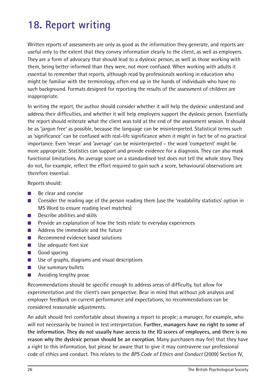# **18. Report writing**

Written reports of assessments are only as good as the information they generate, and reports are useful only to the extent that they convey information clearly to the client, as well as employers. They are a form of advocacy that should lead to a dyslexic person, as well as those working with them, being better informed than they were, not more confused. When working with adults it essential to remember that reports, although read by professionals working in education who might be familiar with the terminology, often end up in the hands of individuals who have no such background. Formats designed for reporting the results of the assessment of children are inappropriate.

In writing the report, the author should consider whether it will help the dyslexic understand and address their difficulties, and whether it will help employers support the dyslexic person. Essentially the report should reiterate what the client was told at the end of the assessment session. It should be as 'jargon free' as possible, because the language can be misinterpreted. Statistical terms such as 'significance' can be confused with real-life significance when it might in fact be of no practical importance. Even 'mean' and 'average' can be misinterpreted – the word 'competent' might be more appropriate. Statistics can support and provide evidence for a diagnosis. They can also mask functional limitations. An average score on a standardised test does not tell the whole story. They do not, for example, reflect the effort required to gain such a score, behavioural observations are therefore essential.

Reports should:

- Be clear and concise
- Consider the reading age of the person reading them (use the 'readability statistics' option in MS Word to ensure reading level matches)
- Describe abilities and skills
- Provide an explanation of how the tests relate to everyday experiences
- Address the immediate and the future
- Recommend evidence based solutions
- Use adequate font size
- Good spacing
- Use of graphs, diagrams and visual descriptions
- Use summary bullets
- Avoiding lengthy prose

Recommendations should be specific enough to address areas of difficulty, but allow for experimentation and the client's own perspective. Bear in mind that without job analysis and employer feedback on current performance and expectations, no recommendations can be considered reasonable adjustments.

An adult should feel comfortable about showing a report to people; a manager, for example, who will not necessarily be trained in test interpretation. **Further, managers have no right to some of the information. They do not usually have access to the IQ scores of employees, and there is no reason why the dyslexic person should be an exception**. Many purchasers may feel that they have a right to this information, but please be aware that to give it may contravene our professional code of ethics and conduct. This relates to the *BPS Code of Ethics and Conduct* (2009) Section IV,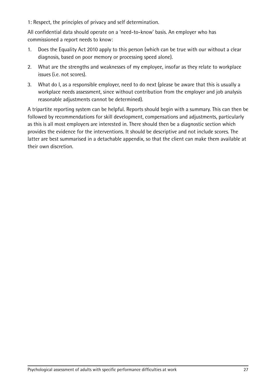1: Respect, the principles of privacy and self determination.

All confidential data should operate on a 'need-to-know' basis. An employer who has commissioned a report needs to know:

- 1. Does the Equality Act 2010 apply to this person (which can be true with our without a clear diagnosis, based on poor memory or processing speed alone).
- 2. What are the strengths and weaknesses of my employee, insofar as they relate to workplace issues (i.e. not scores).
- 3. What do I, as a responsible employer, need to do next (please be aware that this is usually a workplace needs assessment, since without contribution from the employer and job analysis reasonable adjustments cannot be determined).

A tripartite reporting system can be helpful. Reports should begin with a summary. This can then be followed by recommendations for skill development, compensations and adjustments, particularly as this is all most employers are interested in. There should then be a diagnostic section which provides the evidence for the interventions. It should be descriptive and not include scores. The latter are best summarised in a detachable appendix, so that the client can make them available at their own discretion.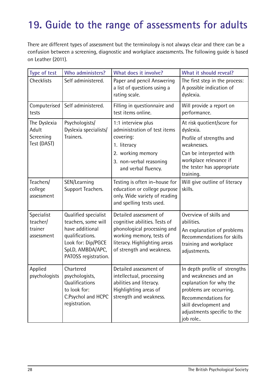# **19. Guide to the range of assessments for adults**

There are different types of assessment but the terminology is not always clear and there can be a confusion between a screening, diagnostic and workplace assessments. The following guide is based on Leather (2011).

| Type of test                                      | Who administers?                                                                                                                                    | What does it involve?                                                                                                                                                           | What it should reveal?                                                                                                                                                                                  |
|---------------------------------------------------|-----------------------------------------------------------------------------------------------------------------------------------------------------|---------------------------------------------------------------------------------------------------------------------------------------------------------------------------------|---------------------------------------------------------------------------------------------------------------------------------------------------------------------------------------------------------|
| <b>Checklists</b>                                 | Self administered.                                                                                                                                  | Paper and pencil Answering<br>a list of questions using a<br>rating scale.                                                                                                      | The first step in the process:<br>A possible indication of<br>dyslexia.                                                                                                                                 |
| Computerised<br>tests                             | Self administered.                                                                                                                                  | Filling in questionnaire and<br>test items online.                                                                                                                              | Will provide a report on<br>performance.                                                                                                                                                                |
| The Dyslexia<br>Adult<br>Screening<br>Test (DAST) | Psychologists/<br>Dyslexia specialists/<br>Trainers.                                                                                                | 1:1 interview plus<br>administration of test items<br>covering:<br>1. literacy<br>2. working memory<br>3. non-verbal reasoning<br>and verbal fluency.                           | At risk quotient/score for<br>dyslexia.<br>Profile of strengths and<br>weaknesses.<br>Can be interpreted with<br>workplace relevance if<br>the tester has appropriate<br>training.                      |
| Teachers/<br>college<br>assessment                | SEN/Learning<br>Support Teachers.                                                                                                                   | Testing is often in-house for<br>education or college purpose<br>only. Wide variety of reading<br>and spelling tests used.                                                      | Will give outline of literacy<br>skills.                                                                                                                                                                |
| Specialist<br>teacher/<br>trainer<br>assessment   | Qualified specialist<br>teachers, some will<br>have additional<br>qualifications.<br>Look for: Dip/PGCE<br>SpLD, AMBDA/APC,<br>PATOSS registration. | Detailed assessment of<br>cognitive abilities. Tests of<br>phonological processing and<br>working memory, tests of<br>literacy. Highlighting areas<br>of strength and weakness. | Overview of skills and<br>abilities.<br>An explanation of problems<br>Recommendations for skills<br>training and workplace<br>adjustments.                                                              |
| Applied                                           | Chartered<br>psychologists   psychologists,<br>Qualifications<br>to look for:<br>C.Psychol and HCPC<br>registration.                                | Detailed assessment of<br>intellectual, processing<br>abilities and literacy.<br>Highlighting areas of<br>strength and weakness.                                                | In depth profile of strengths<br>and weaknesses and an<br>explanation for why the<br>problems are occurring.<br>Recommendations for<br>skill development and<br>adjustments specific to the<br>job role |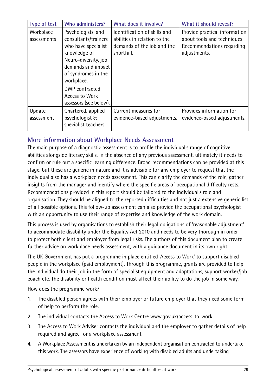| <b>Type of test</b>  | Who administers?                                             | What does it involve?                               | What it should reveal?                                  |
|----------------------|--------------------------------------------------------------|-----------------------------------------------------|---------------------------------------------------------|
| Workplace            | Psychologists, and                                           | Identification of skills and                        | Provide practical information                           |
| assessments          | consultants/trainers                                         | abilities in relation to the                        | about tools and techniques                              |
|                      | who have specialist                                          | demands of the job and the                          | Recommendations regarding                               |
|                      | knowledge of                                                 | shortfall.                                          | adjustments.                                            |
|                      | Neuro-diversity, job                                         |                                                     |                                                         |
|                      | demands and impact                                           |                                                     |                                                         |
|                      | of syndromes in the                                          |                                                     |                                                         |
|                      | workplace.                                                   |                                                     |                                                         |
|                      | DWP contracted                                               |                                                     |                                                         |
|                      | Access to Work                                               |                                                     |                                                         |
|                      | assessors (see below).                                       |                                                     |                                                         |
| Update<br>assessment | Chartered, applied<br>psychologist &<br>specialist teachers. | Current measures for<br>evidence-based adjustments. | Provides information for<br>evidence-based adjustments. |

### **More information about Workplace Needs Assessment**

The main purpose of a diagnostic assessment is to profile the individual's range of cognitive abilities alongside literacy skills. In the absence of any previous assessment, ultimately it needs to confirm or rule out a specific learning difference. Broad recommendations can be provided at this stage, but these are generic in nature and it is advisable for any employer to request that the individual also has a workplace needs assessment. This can clarify the demands of the role, gather insights from the manager and identify where the specific areas of occupational difficulty rests. Recommendations provided in this report should be tailored to the individual's role and organisation. They should be aligned to the reported difficulties and not just a extensive generic list of all possible options. This follow-up assessment can also provide the occupational psychologist with an opportunity to use their range of expertise and knowledge of the work domain.

This process is used by organisations to establish their legal obligations of 'reasonable adjustment' to accommodate disability under the Equality Act 2010 and needs to be very thorough in order to protect both client and employer from legal risks. The authors of this document plan to create further advice on workplace needs assessment, with a guidance document in its own right.

The UK Government has put a programme in place entitled 'Access to Work' to support disabled people in the workplace (paid employment). Through this programme, grants are provided to help the individual do their job in the form of specialist equipment and adaptations, support worker/job coach etc. The disability or health condition must affect their ability to do the job in some way.

How does the programme work?

- 1. The disabled person agrees with their employer or future employer that they need some form of help to perform the role.
- 2. The individual contacts the Access to Work Centre www.gov.uk/access-to-work
- 3. The Access to Work Adviser contacts the individual and the employer to gather details of help required and agree for a workplace assessment
- 4. A Workplace Assessment is undertaken by an independent organisation contracted to undertake this work. The assessors have experience of working with disabled adults and undertaking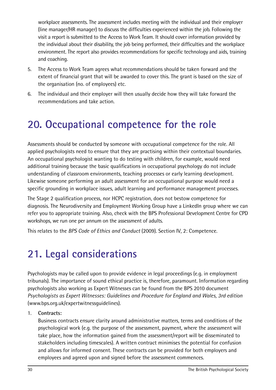workplace assessments. The assessment includes meeting with the individual and their employer (line manager/HR manager) to discuss the difficulties experienced within the job. Following the visit a report is submitted to the Access to Work Team. It should cover information provided by the individual about their disability, the job being performed, their difficulties and the workplace environment. The report also provides recommendations for specific technology and aids, training and coaching.

- 5. The Access to Work Team agrees what recommendations should be taken forward and the extent of financial grant that will be awarded to cover this. The grant is based on the size of the organisation (no. of employees) etc.
- 6. The individual and their employer will then usually decide how they will take forward the recommendations and take action.

# **20. Occupational competence for the role**

Assessments should be conducted by someone with occupational competence for the role. All applied psychologists need to ensure that they are practising within their contextual boundaries. An occupational psychologist wanting to do testing with children, for example, would need additional training because the basic qualifications in occupational psychology do not include understanding of classroom environments, teaching processes or early learning development. Likewise someone performing an adult assessment for an occupational purpose would need a specific grounding in workplace issues, adult learning and performance management processes.

The Stage 2 qualification process, nor HCPC registration, does not bestow competence for diagnosis. The Neurodiversity and Employment Working Group have a LinkedIn group where we can refer you to appropriate training. Also, check with the BPS Professional Development Centre for CPD workshops, we run one per annum on the assessment of adults.

This relates to the *BPS Code of Ethics and Conduct* (2009). Section IV, 2: Competence.

# **21. Legal considerations**

Psychologists may be called upon to provide evidence in legal proceedings (e.g. in employment tribunals). The importance of sound ethical practice is, therefore, paramount. Information regarding psychologists also working as Expert Witnesses can be found from the BPS 2010 document *Psychologists as Expert Witnesses: Guidelines and Procedure for England and Wales, 3rd edition* (www.bps.org.uk/expertwitnessguidelines).

#### 1. **Contracts:**

Business contracts ensure clarity around administrative matters, terms and conditions of the psychological work (e.g. the purpose of the assessment, payment, where the assessment will take place, how the information gained from the assessment/report will be disseminated to stakeholders including timescales). A written contract minimises the potential for confusion and allows for informed consent. These contracts can be provided for both employers and employees and agreed upon and signed before the assessment commences.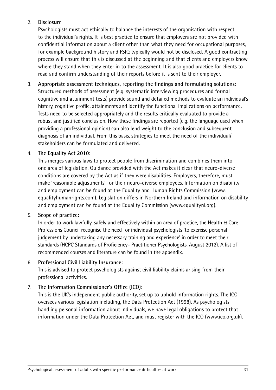#### 2. **Disclosure**

Psychologists must act ethically to balance the interests of the organisation with respect to the individual's rights. It is best practice to ensure that employers are not provided with confidential information about a client other than what they need for occupational purposes, for example background history and FSIQ typically would not be disclosed. A good contracting process will ensure that this is discussed at the beginning and that clients and employers know where they stand when they enter in to the assessment. It is also good practice for clients to read and confirm understanding of their reports before it is sent to their employer.

3. **Appropriate assessment techniques, reporting the findings and formulating solutions:** Structured methods of assessment (e.g. systematic interviewing procedures and formal cognitive and attainment tests) provide sound and detailed methods to evaluate an individual's history, cognitive profile, attainments and identify the functional implications on performance. Tests need to be selected appropriately and the results critically evaluated to provide a robust and justified conclusion. How these findings are reported (e.g. the language used when providing a professional opinion) can also lend weight to the conclusion and subsequent diagnosis of an individual. From this basis, strategies to meet the need of the individual/ stakeholders can be formulated and delivered.

#### 4. **The Equality Act 2010:**

This merges various laws to protect people from discrimination and combines them into one area of legislation. Guidance provided with the Act makes it clear that neuro-diverse conditions are covered by the Act as if they were disabilities. Employers, therefore, must make 'reasonable adjustments' for their neuro-diverse employees. Information on disability and employment can be found at the Equality and Human Rights Commission (www. equalityhumanrights.com). Legislation differs in Northern Ireland and information on disability and employment can be found at the Equality Commission (www.equalityni.org).

#### 5. **Scope of practice:**

In order to work lawfully, safely and effectively within an area of practice, the Health & Care Professions Council recognise the need for individual psychologists 'to exercise personal judgement by undertaking any necessary training and experience' in order to meet their standards (HCPC Standards of Proficiency- Practitioner Psychologists, August 2012). A list of recommended courses and literature can be found in the appendix.

#### 6. **Professional Civil Liability Insurance:**

This is advised to protect psychologists against civil liability claims arising from their professional activities.

#### 7. **The Information Commissioner's Office (ICO):**

This is the UK's independent public authority, set up to uphold information rights. The ICO oversees various legislation including, the Data Protection Act (1998). As psychologists handling personal information about individuals, we have legal obligations to protect that information under the Data Protection Act, and must register with the ICO (www.ico.org.uk).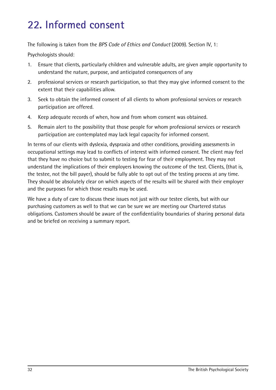# **22. Informed consent**

The following is taken from the *BPS Code of Ethics and Conduct* (2009). Section IV, 1:

Psychologists should:

- 1. Ensure that clients, particularly children and vulnerable adults, are given ample opportunity to understand the nature, purpose, and anticipated consequences of any
- 2. professional services or research participation, so that they may give informed consent to the extent that their capabilities allow.
- 3. Seek to obtain the informed consent of all clients to whom professional services or research participation are offered.
- 4. Keep adequate records of when, how and from whom consent was obtained.
- 5. Remain alert to the possibility that those people for whom professional services or research participation are contemplated may lack legal capacity for informed consent.

In terms of our clients with dyslexia, dyspraxia and other conditions, providing assessments in occupational settings may lead to conflicts of interest with informed consent. The client may feel that they have no choice but to submit to testing for fear of their employment. They may not understand the implications of their employers knowing the outcome of the test. Clients, (that is, the testee, not the bill payer), should be fully able to opt out of the testing process at any time. They should be absolutely clear on which aspects of the results will be shared with their employer and the purposes for which those results may be used.

We have a duty of care to discuss these issues not just with our testee clients, but with our purchasing customers as well to that we can be sure we are meeting our Chartered status obligations. Customers should be aware of the confidentiality boundaries of sharing personal data and be briefed on receiving a summary report.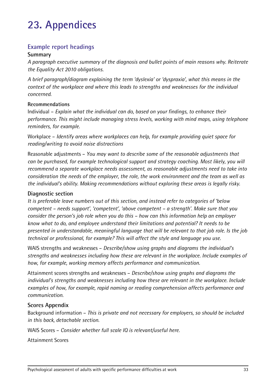# **23. Appendices**

### **Example report headings**

#### **Summary**

*A paragraph executive summary of the diagnosis and bullet points of main reasons why. Reiterate the Equality Act 2010 obligations.*

*A brief paragraph/diagram explaining the term 'dyslexia' or 'dyspraxia', what this means in the context of the workplace and where this leads to strengths and weaknesses for the individual concerned.*

#### **Recommendations**

Individual – *Explain what the individual can do, based on your findings, to enhance their performance. This might include managing stress levels, working with mind maps, using telephone reminders, for example.*

Workplace – *Identify areas where workplaces can help, for example providing quiet space for reading/writing to avoid noise distractions*

Reasonable adjustments – *You may want to describe some of the reasonable adjustments that can be purchased, for example technological support and strategy coaching. Most likely, you will recommend a separate workplace needs assessment, as reasonable adjustments need to take into consideration the needs of the employer, the role, the work environment and the team as well as the individual's ability. Making recommendations without exploring these areas is legally risky.* 

#### **Diagnostic section**

*It is preferable leave numbers out of this section, and instead refer to categories of 'below competent – needs support', 'competent', 'above competent – a strength'. Make sure that you consider the person's job role when you do this – how can this information help an employer know what to do, and employee understand their limitations and potential? It needs to be presented in understandable, meaningful language that will be relevant to that job role. Is the job technical or professional, for example? This will affect the style and language you use.*

WAIS strengths and weaknesses – *Describe/show using graphs and diagrams the individual's strengths and weaknesses including how these are relevant in the workplace. Include examples of how, for example, working memory affects performance and communication.*

Attainment scores strengths and weaknesses – *Describe/show using graphs and diagrams the individual's strengths and weaknesses including how these are relevant in the workplace. Include examples of how, for example, rapid naming or reading comprehension affects performance and communication.*

#### **Scores Appendix**

Background information – *This is private and not necessary for employers, so should be included in this back, detachable section.*

WAIS Scores – *Consider whether full scale IQ is relevant/useful here.*

Attainment Scores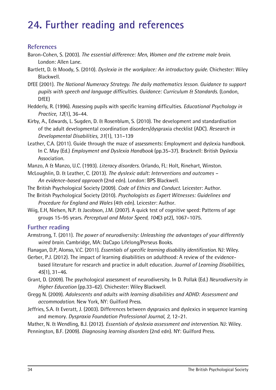# **24. Further reading and references**

### **References**

- Baron-Cohen, S. (2003). *The essential difference: Men, Women and the extreme male brain*. London: Allen Lane.
- Bartlett, D. & Moody, S. (2010). *Dyslexia in the workplace: An introductory guide*. Chichester: Wiley Blackwell.
- DfEE (2001). *The National Numeracy Strategy. The daily mathematics lesson. Guidance to support pupils with speech and language difficulties. Guidance: Curriculum & Standards*. (London, DfEE)
- Hedderly, R. (1996). Assessing pupils with specific learning difficulties. *Educational Psychology in Practice, 12*(1), 36–44.
- Kirby, A., Edwards, L. Sugden, D. & Rosenblum, S. (2010). The development and standardisation of the adult developmental coordination disorders/dyspraxia checklist (ADC). *Research in Developmental Disabilities, 31*(1), 131–139
- Leather, C.A. (2011). Guide through the maze of assessments: Employment and dyslexia handbook. In C. May (Ed.) *Employment and Dyslexia Handbook* (pp.35–37). Bracknell: British Dyslexia Association.
- Manzo, A & Manzo, U.C. (1993). *Literacy disorders.* Orlando, FL: Holt, Rinehart, Winston.
- McLoughlin, D. & Leather, C. (2013). *The dyslexic adult: Interventions and outcomes An evidence-based approach* (2nd edn). London: BPS Blackwell.
- The British Psychological Society (2009). *Code of Ethics and Conduct*. Leicester: Author.
- The British Psychological Society (2010). *Psychologists as Expert Witnesses: Guidelines and Procedure for England and Wales* (4th edn). Leicester: Author.
- Wiig, E.H, Nielsen, N.P. & Jacobson, J.M. (2007). A quick test of cognitive speed: Patterns of age groups 15–95 years. *Perceptual and Motor Speed, 104*(3 pt2), 1067–1075.

### **Further reading**

- Armstrong, T. (2011). *The power of neurodiversity: Unleashing the advantages of your differently wired brain*. Cambridge, MA: DaCapo Lifelong/Perseus Books.
- Flanagan, D.P, Alonso, V.C. (2011). *Essentials of specific learning disability identification*. NJ: Wiley.
- Gerber, P.J. (2012). The impact of learning disabilities on adulthood: A review of the evidencebased literature for research and practice in adult education. *Journal of Learning Disabilities, 45*(1), 31–46.
- Grant, D. (2009). The psychological assessment of neurodiversity. In D. Pollak (Ed.) *Neurodiversity in Higher Education* (pp.33–62). Chichester: Wiley Blackwell.
- Gregg N. (2009). *Adolescents and adults with learning disabilities and ADHD: Assessment and accommodation*. New York, NY: Guilford Press.
- Jeffries, S.A. & Everatt, J. (2003). Differences between dyspraxics and dyslexics in sequence learning and memory. *Dyspraxia Foundation Professional Journal, 2,* 12–21.
- Mather, N. & Wendling, B.J. (2012). *Essentials of dyslexia assessment and intervention*. NJ: Wiley. Pennington, B.F. (2009). *Diagnosing learning disorders* (2nd edn). NY: Guilford Press.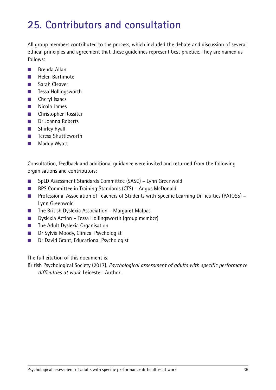# **25. Contributors and consultation**

All group members contributed to the process, which included the debate and discussion of several ethical principles and agreement that these guidelines represent best practice. They are named as follows:

- Brenda Allan
- Helen Bartimote
- Sarah Cleaver
- Tessa Hollingsworth
- Cheryl Isaacs
- Nicola James
- Christopher Rossiter
- Dr Joanna Roberts
- Shirley Ryall
- Teresa Shuttleworth
- Maddy Wyatt

Consultation, feedback and additional guidance were invited and returned from the following organisations and contributors:

- SpLD Assessment Standards Committee (SASC) Lynn Greenwold
- BPS Committee in Training Standards (CTS) Angus McDonald
- Professional Association of Teachers of Students with Specific Learning Difficulties (PATOSS) Lynn Greenwold
- The British Dyslexia Association Margaret Malpas
- Dyslexia Action Tessa Hollingsworth (group member)
- The Adult Dyslexia Organisation
- Dr Sylvia Moody, Clinical Psychologist
- Dr David Grant, Educational Psychologist

The full citation of this document is:

British Psychological Society (2017). *Psychological assessment of adults with specific performance difficulties at work*. Leicester: Author.